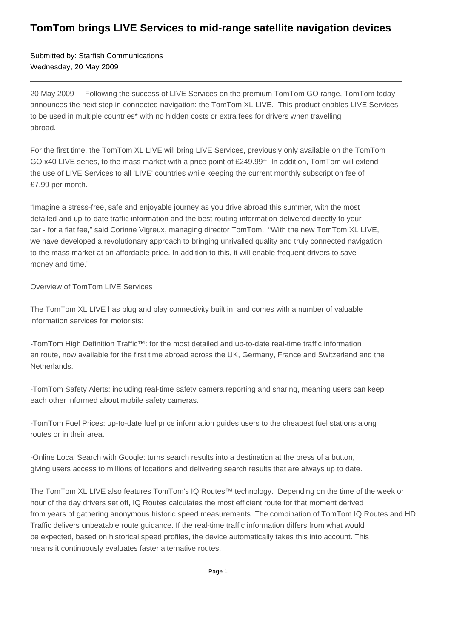## **TomTom brings LIVE Services to mid-range satellite navigation devices**

Submitted by: Starfish Communications Wednesday, 20 May 2009

20 May 2009 - Following the success of LIVE Services on the premium TomTom GO range, TomTom today announces the next step in connected navigation: the TomTom XL LIVE. This product enables LIVE Services to be used in multiple countries\* with no hidden costs or extra fees for drivers when travelling abroad.

For the first time, the TomTom XL LIVE will bring LIVE Services, previously only available on the TomTom GO x40 LIVE series, to the mass market with a price point of £249.99†. In addition, TomTom will extend the use of LIVE Services to all 'LIVE' countries while keeping the current monthly subscription fee of £7.99 per month.

"Imagine a stress-free, safe and enjoyable journey as you drive abroad this summer, with the most detailed and up-to-date traffic information and the best routing information delivered directly to your car - for a flat fee," said Corinne Vigreux, managing director TomTom. "With the new TomTom XL LIVE, we have developed a revolutionary approach to bringing unrivalled quality and truly connected navigation to the mass market at an affordable price. In addition to this, it will enable frequent drivers to save money and time."

## Overview of TomTom LIVE Services

The TomTom XL LIVE has plug and play connectivity built in, and comes with a number of valuable information services for motorists:

- TomTom High Definition Traffic™: for the most detailed and up-to-date real-time traffic information en route, now available for the first time abroad across the UK, Germany, France and Switzerland and the Netherlands.

- TomTom Safety Alerts: including real-time safety camera reporting and sharing, meaning users can keep each other informed about mobile safety cameras.

- TomTom Fuel Prices: up-to-date fuel price information guides users to the cheapest fuel stations along routes or in their area.

- Online Local Search with Google: turns search results into a destination at the press of a button, giving users access to millions of locations and delivering search results that are always up to date.

The TomTom XL LIVE also features TomTom's IQ Routes™ technology. Depending on the time of the week or hour of the day drivers set off, IQ Routes calculates the most efficient route for that moment derived from years of gathering anonymous historic speed measurements. The combination of TomTom IQ Routes and HD Traffic delivers unbeatable route guidance. If the real-time traffic information differs from what would be expected, based on historical speed profiles, the device automatically takes this into account. This means it continuously evaluates faster alternative routes.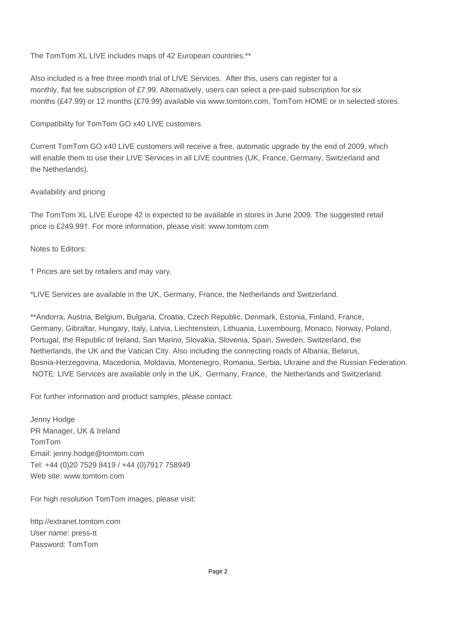The TomTom XL LIVE includes maps of 42 European countries.\*\*

Also included is a free three month trial of LIVE Services. After this, users can register for a monthly, flat fee subscription of £7.99. Alternatively, users can select a pre-paid subscription for six months (£47.99) or 12 months (£79.99) available via www.tomtom.com, TomTom HOME or in selected stores.

Compatibility for TomTom GO x40 LIVE customers

Current TomTom GO x40 LIVE customers will receive a free, automatic upgrade by the end of 2009, which will enable them to use their LIVE Services in all LIVE countries (UK, France, Germany, Switzerland and the Netherlands).

## Availability and pricing

The TomTom XL LIVE Europe 42 is expected to be available in stores in June 2009. The suggested retail price is £249.99†. For more information, please visit: www.tomtom.com

Notes to Editors:

† Prices are set by retailers and may vary.

\*LIVE Services are available in the UK, Germany, France, the Netherlands and Switzerland.

\*\*Andorra, Austria, Belgium, Bulgaria, Croatia, Czech Republic, Denmark, Estonia, Finland, France, Germany, Gibraltar, Hungary, Italy, Latvia, Liechtenstein, Lithuania, Luxembourg, Monaco, Norway, Poland, Portugal, the Republic of Ireland, San Marino, Slovakia, Slovenia, Spain, Sweden, Switzerland, the Netherlands, the UK and the Vatican City. Also including the connecting roads of Albania, Belarus, Bosnia-Herzegovina, Macedonia, Moldavia, Montenegro, Romania, Serbia, Ukraine and the Russian Federation. NOTE: LIVE Services are available only in the UK, Germany, France, the Netherlands and Switzerland.

For further information and product samples, please contact:

Jenny Hodge PR Manager, UK & Ireland TomTom Email: jenny.hodge@tomtom.com Tel: +44 (0)20 7529 8419 / +44 (0)7917 758949 Web site: www.tomtom.com

For high resolution TomTom images, please visit:

http://extranet.tomtom.com User name: press-tt Password: TomTom